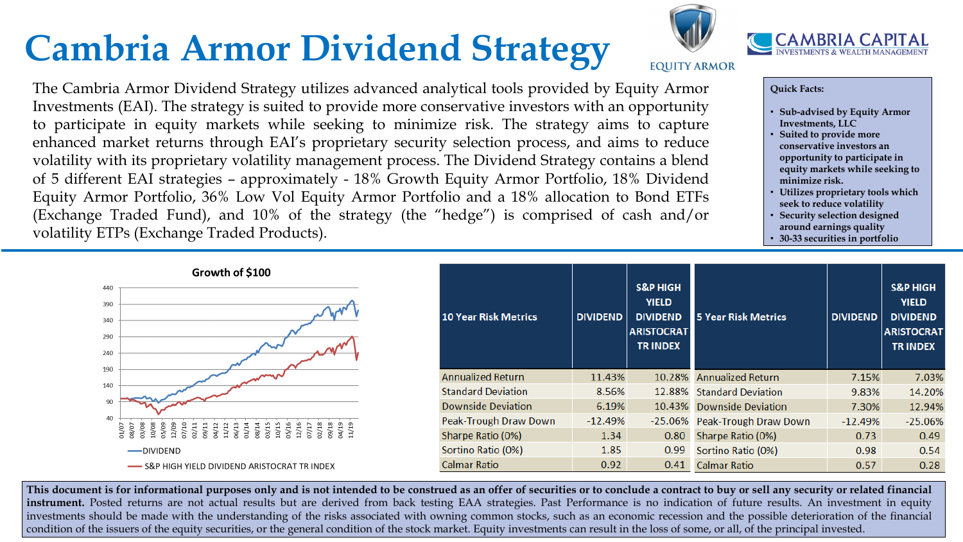## **Cambria Armor Dividend Strategy**

This document is for informational purposes only and is not intended to be construed as an offer of securities or to conclude a contract to buy or sell any security or related financial instrument. Posted returns are not actual results but are derived from back testing EAA strategies. Past Performance is no indication of future results. An investment in equity investments should be made with the understanding of the risks associated with owning common stocks, such as an economic recession and the possible deterioration of the financial condition of the issuers of the equity securities, or the general condition of the stock market. Equity investments can result in the loss of some, or all, of the principal invested.



**EQUITY ARMOR** 



## **Quick Facts:**

- **Sub-advised by Equity Armor Investments, LLC**
- **Suited to provide more conservative investors an opportunity to participate in equity markets while seeking to minimize risk.**
- **Utilizes proprietary tools which seek to reduce volatility**
- **Security selection designed around earnings quality**
- **30-33 securities in portfolio**

| D             | <b>S&amp;P HIGH</b><br><b>YIELD</b><br><b>DIVIDEND</b><br><b>ARISTOCRAT</b><br><b>TRINDEX</b> | <b>5 Year Risk Metrics</b> | <b>DIVIDEND</b> | <b>S&amp;P HIGH</b><br><b>YIELD</b><br><b>DIVIDEND</b><br><b>ARISTOCRAT</b><br><b>TRINDEX</b> |
|---------------|-----------------------------------------------------------------------------------------------|----------------------------|-----------------|-----------------------------------------------------------------------------------------------|
| $\%$          | 10.28%                                                                                        | <b>Annualized Return</b>   | 7.15%           | 7.03%                                                                                         |
| $\frac{9}{6}$ | 12.88%                                                                                        | <b>Standard Deviation</b>  | 9.83%           | 14.20%                                                                                        |
| 1%            | 10.43%                                                                                        | <b>Downside Deviation</b>  | 7.30%           | 12.94%                                                                                        |
| 1%            | $-25.06%$                                                                                     | Peak-Trough Draw Down      | $-12.49%$       | $-25.06%$                                                                                     |
| 4             | 0.80                                                                                          | Sharpe Ratio (0%)          | 0.73            | 0.49                                                                                          |
| 5.            | 0.99                                                                                          | Sortino Ratio (0%)         | 0.98            | 0.54                                                                                          |
| 2             | 0.41                                                                                          | <b>Calmar Ratio</b>        | 0.57            | 0.28                                                                                          |

The Cambria Armor Dividend Strategy utilizes advanced analytical tools provided by Equity Armor Investments (EAI). The strategy is suited to provide more conservative investors with an opportunity to participate in equity markets while seeking to minimize risk. The strategy aims to capture enhanced market returns through EAI's proprietary security selection process, and aims to reduce volatility with its proprietary volatility management process. The Dividend Strategy contains a blend of 5 different EAI strategies – approximately - 18% Growth Equity Armor Portfolio, 18% Dividend Equity Armor Portfolio, 36% Low Vol Equity Armor Portfolio and a 18% allocation to Bond ETFs (Exchange Traded Fund), and 10% of the strategy (the "hedge") is comprised of cash and/or volatility ETPs (Exchange Traded Products).